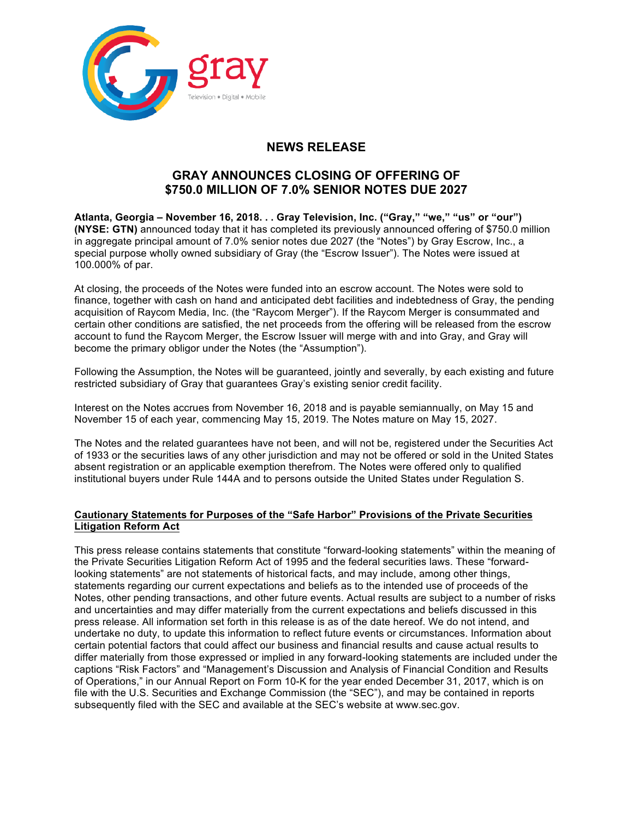

## **NEWS RELEASE**

## **GRAY ANNOUNCES CLOSING OF OFFERING OF \$750.0 MILLION OF 7.0% SENIOR NOTES DUE 2027**

**Atlanta, Georgia – November 16, 2018. . . Gray Television, Inc. ("Gray," "we," "us" or "our") (NYSE: GTN)** announced today that it has completed its previously announced offering of \$750.0 million in aggregate principal amount of 7.0% senior notes due 2027 (the "Notes") by Gray Escrow, Inc., a special purpose wholly owned subsidiary of Gray (the "Escrow Issuer"). The Notes were issued at 100.000% of par.

At closing, the proceeds of the Notes were funded into an escrow account. The Notes were sold to finance, together with cash on hand and anticipated debt facilities and indebtedness of Gray, the pending acquisition of Raycom Media, Inc. (the "Raycom Merger"). If the Raycom Merger is consummated and certain other conditions are satisfied, the net proceeds from the offering will be released from the escrow account to fund the Raycom Merger, the Escrow Issuer will merge with and into Gray, and Gray will become the primary obligor under the Notes (the "Assumption").

Following the Assumption, the Notes will be guaranteed, jointly and severally, by each existing and future restricted subsidiary of Gray that guarantees Gray's existing senior credit facility.

Interest on the Notes accrues from November 16, 2018 and is payable semiannually, on May 15 and November 15 of each year, commencing May 15, 2019. The Notes mature on May 15, 2027.

The Notes and the related guarantees have not been, and will not be, registered under the Securities Act of 1933 or the securities laws of any other jurisdiction and may not be offered or sold in the United States absent registration or an applicable exemption therefrom. The Notes were offered only to qualified institutional buyers under Rule 144A and to persons outside the United States under Regulation S.

## **Cautionary Statements for Purposes of the "Safe Harbor" Provisions of the Private Securities Litigation Reform Act**

This press release contains statements that constitute "forward-looking statements" within the meaning of the Private Securities Litigation Reform Act of 1995 and the federal securities laws. These "forwardlooking statements" are not statements of historical facts, and may include, among other things, statements regarding our current expectations and beliefs as to the intended use of proceeds of the Notes, other pending transactions, and other future events. Actual results are subject to a number of risks and uncertainties and may differ materially from the current expectations and beliefs discussed in this press release. All information set forth in this release is as of the date hereof. We do not intend, and undertake no duty, to update this information to reflect future events or circumstances. Information about certain potential factors that could affect our business and financial results and cause actual results to differ materially from those expressed or implied in any forward-looking statements are included under the captions "Risk Factors" and "Management's Discussion and Analysis of Financial Condition and Results of Operations," in our Annual Report on Form 10-K for the year ended December 31, 2017, which is on file with the U.S. Securities and Exchange Commission (the "SEC"), and may be contained in reports subsequently filed with the SEC and available at the SEC's website at www.sec.gov.